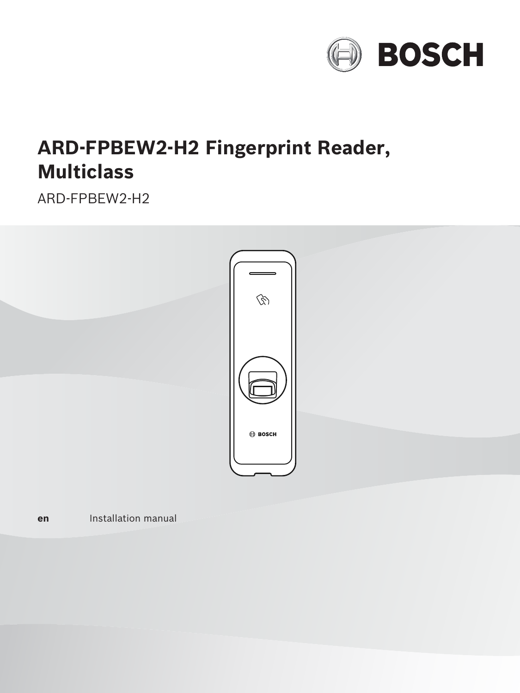

# **ARD‑FPBEW2‑H2 Fingerprint Reader, Multiclass**

ARD‑FPBEW2‑H2



**en** Installation manual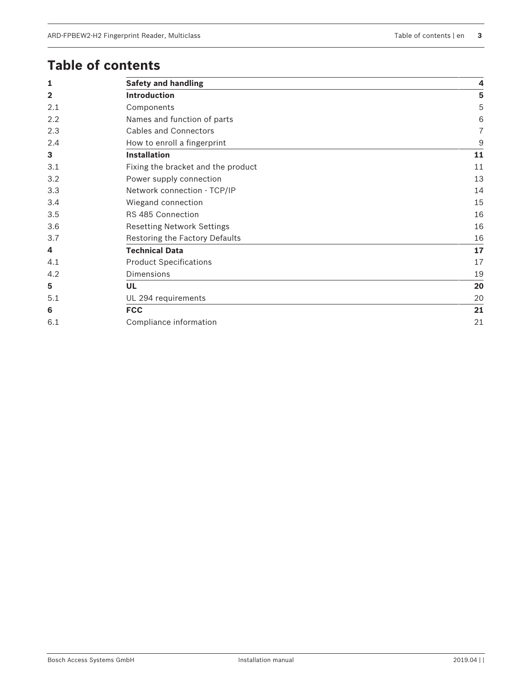## **Table of contents**

| 1              | <b>Safety and handling</b>         | 4                |
|----------------|------------------------------------|------------------|
| $\overline{2}$ | <b>Introduction</b>                | 5                |
| 2.1            | Components                         | 5                |
| 2.2            | Names and function of parts        | 6                |
| 2.3            | <b>Cables and Connectors</b>       | $\overline{7}$   |
| 2.4            | How to enroll a fingerprint        | $\boldsymbol{9}$ |
| 3              | <b>Installation</b>                | 11               |
| 3.1            | Fixing the bracket and the product | 11               |
| 3.2            | Power supply connection            | 13               |
| 3.3            | Network connection - TCP/IP        | 14               |
| 3.4            | Wiegand connection                 | 15               |
| 3.5            | RS 485 Connection                  | 16               |
| 3.6            | <b>Resetting Network Settings</b>  | 16               |
| 3.7            | Restoring the Factory Defaults     | 16               |
| 4              | <b>Technical Data</b>              | 17               |
| 4.1            | <b>Product Specifications</b>      | 17               |
| 4.2            | <b>Dimensions</b>                  | 19               |
| 5              | <b>UL</b>                          | 20               |
| 5.1            | UL 294 requirements                | 20               |
| 6              | <b>FCC</b>                         | 21               |
| 6.1            | Compliance information             | 21               |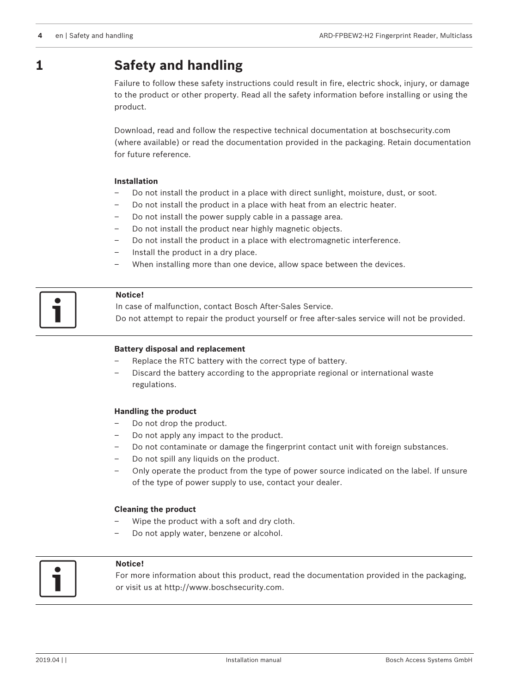## **1 Safety and handling**

Failure to follow these safety instructions could result in fire, electric shock, injury, or damage to the product or other property. Read all the safety information before installing or using the product.

Download, read and follow the respective technical documentation at boschsecurity.com (where available) or read the documentation provided in the packaging. Retain documentation for future reference.

#### **Installation**

- Do not install the product in a place with direct sunlight, moisture, dust, or soot.
- Do not install the product in a place with heat from an electric heater.
- Do not install the power supply cable in a passage area.
- Do not install the product near highly magnetic objects.
- Do not install the product in a place with electromagnetic interference.
- Install the product in a dry place.
- When installing more than one device, allow space between the devices.

#### **Notice!**

In case of malfunction, contact Bosch After-Sales Service. Do not attempt to repair the product yourself or free after-sales service will not be provided.

#### **Battery disposal and replacement**

- Replace the RTC battery with the correct type of battery.
- Discard the battery according to the appropriate regional or international waste regulations.

#### **Handling the product**

- Do not drop the product.
- Do not apply any impact to the product.
- Do not contaminate or damage the fingerprint contact unit with foreign substances.
- Do not spill any liquids on the product.
- Only operate the product from the type of power source indicated on the label. If unsure of the type of power supply to use, contact your dealer.

#### **Cleaning the product**

- Wipe the product with a soft and dry cloth.
- Do not apply water, benzene or alcohol.



#### **Notice!**

For more information about this product, read the documentation provided in the packaging, or visit us at [http://www.boschsecurity.com.](http://www.boschsecurity.com)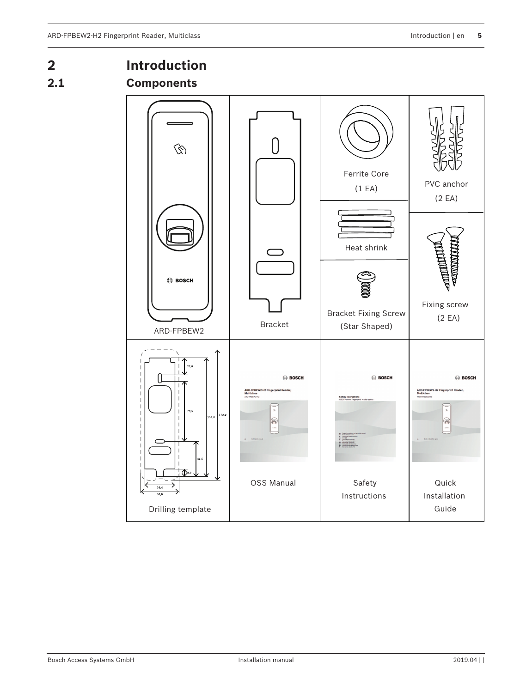### **2 Introduction 2.1 Components**  $\bigcirc$  $\mathcal{D}$ Ferrite Core PVC anchor (1 EA) (2 EA) Heat shrink **BOSCH** Fixing screw Bracket Fixing Screw (2 EA) Bracket (Star Shaped) ARD-FPBEW2 **BOSCH BOSCH BOSCH** ARD-FPBEW2-H2 Fingerprint Reader<br>Multiclass ARD-FPBEW2-H2 Fing<br>Multiclass 79.5  $172.$ 56.4 e  $\circledcirc$  $\ddot{\phantom{a}}$ 46.5 ⋀ OSS Manual | Safety Quick Instructions Installation GuideDrilling template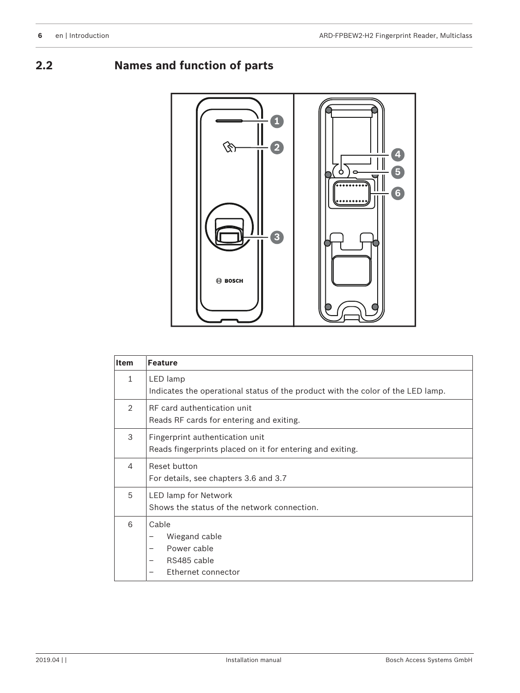**2.2 Names and function of parts**



| <b>Item</b>    | <b>Feature</b>                                                                                                                          |
|----------------|-----------------------------------------------------------------------------------------------------------------------------------------|
| $\mathbf{1}$   | LED lamp<br>Indicates the operational status of the product with the color of the LED lamp.                                             |
| $\mathfrak{D}$ | RF card authentication unit<br>Reads RF cards for entering and exiting.                                                                 |
| 3              | Fingerprint authentication unit<br>Reads fingerprints placed on it for entering and exiting.                                            |
| 4              | Reset button<br>For details, see chapters 3.6 and 3.7                                                                                   |
| 5              | LED lamp for Network<br>Shows the status of the network connection.                                                                     |
| 6              | Cable<br>Wiegand cable<br>-<br>Power cable<br>$\overline{\phantom{0}}$<br>RS485 cable<br>$\overline{\phantom{m}}$<br>Ethernet connector |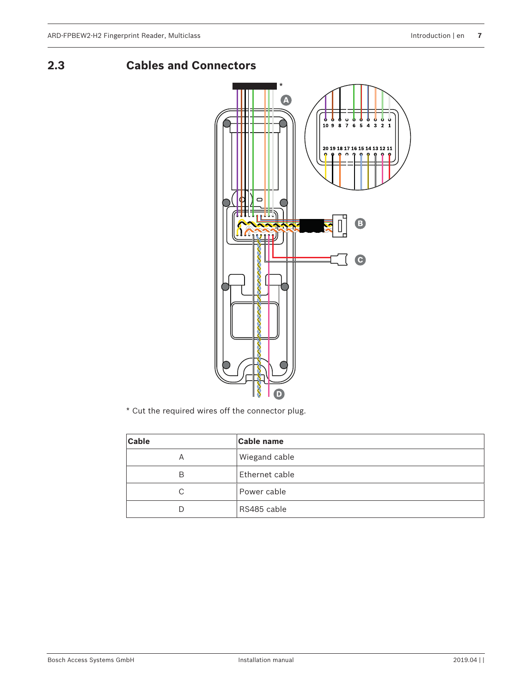**2.3 Cables and Connectors**



\* Cut the required wires off the connector plug.

| <b>Cable</b> | <b>Cable name</b> |
|--------------|-------------------|
| А            | Wiegand cable     |
| В            | Ethernet cable    |
| C            | Power cable       |
| D            | RS485 cable       |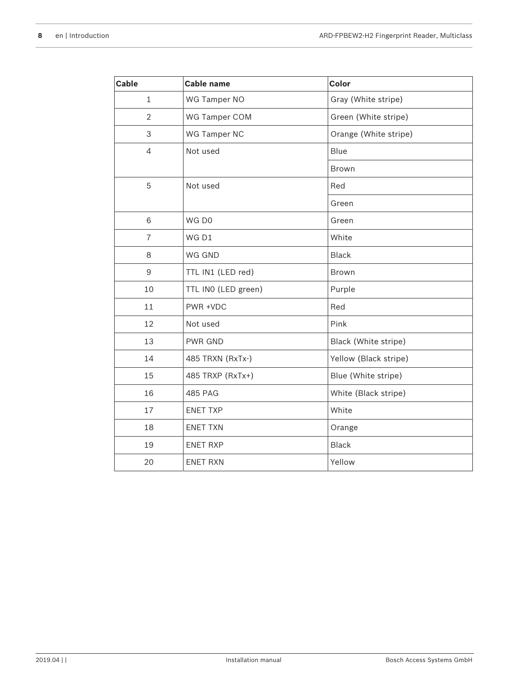| <b>Cable</b>     | Cable name          | Color                 |
|------------------|---------------------|-----------------------|
| $\mathbf{1}$     | WG Tamper NO        | Gray (White stripe)   |
| $\overline{2}$   | WG Tamper COM       | Green (White stripe)  |
| 3                | WG Tamper NC        | Orange (White stripe) |
| $\overline{4}$   | Not used            | Blue                  |
|                  |                     | Brown                 |
| 5                | Not used            | Red                   |
|                  |                     | Green                 |
| 6                | WG DO               | Green                 |
| $\overline{7}$   | WG D1               | White                 |
| 8                | WG GND              | <b>Black</b>          |
| $\boldsymbol{9}$ | TTL IN1 (LED red)   | Brown                 |
| 10               | TTL INO (LED green) | Purple                |
| 11               | PWR +VDC            | Red                   |
| 12               | Not used            | Pink                  |
| 13               | PWR GND             | Black (White stripe)  |
| 14               | 485 TRXN (RxTx-)    | Yellow (Black stripe) |
| 15               | 485 TRXP (RxTx+)    | Blue (White stripe)   |
| 16               | 485 PAG             | White (Black stripe)  |
| 17               | <b>ENET TXP</b>     | White                 |
| 18               | <b>ENET TXN</b>     | Orange                |
| 19               | <b>ENET RXP</b>     | <b>Black</b>          |
| 20               | <b>ENET RXN</b>     | Yellow                |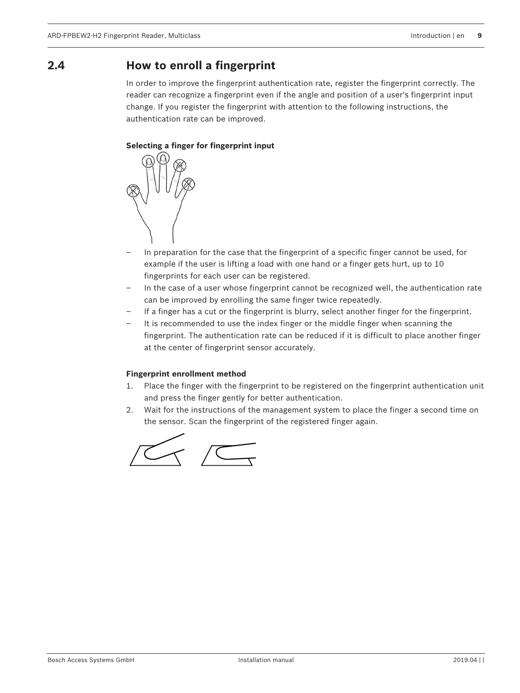### **2.4 How to enroll a fingerprint**

In order to improve the fingerprint authentication rate, register the fingerprint correctly. The reader can recognize a fingerprint even if the angle and position of a user's fingerprint input change. If you register the fingerprint with attention to the following instructions, the authentication rate can be improved.

#### **Selecting a finger for fingerprint input**



- In preparation for the case that the fingerprint of a specific finger cannot be used, for example if the user is lifting a load with one hand or a finger gets hurt, up to 10 fingerprints for each user can be registered.
- In the case of a user whose fingerprint cannot be recognized well, the authentication rate can be improved by enrolling the same finger twice repeatedly.
- If a finger has a cut or the fingerprint is blurry, select another finger for the fingerprint.
- It is recommended to use the index finger or the middle finger when scanning the fingerprint. The authentication rate can be reduced if it is difficult to place another finger at the center of fingerprint sensor accurately.

#### **Fingerprint enrollment method**

- 1. Place the finger with the fingerprint to be registered on the fingerprint authentication unit and press the finger gently for better authentication.
- 2. Wait for the instructions of the management system to place the finger a second time on the sensor. Scan the fingerprint of the registered finger again.

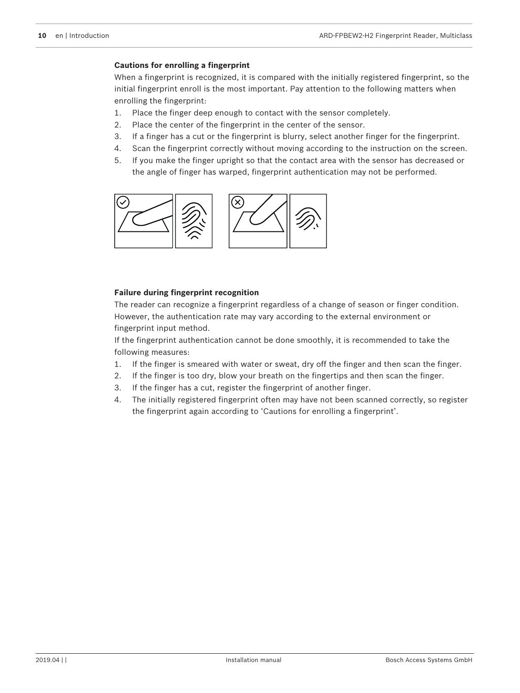#### **Cautions for enrolling a fingerprint**

When a fingerprint is recognized, it is compared with the initially registered fingerprint, so the initial fingerprint enroll is the most important. Pay attention to the following matters when enrolling the fingerprint:

- 1. Place the finger deep enough to contact with the sensor completely.
- 2. Place the center of the fingerprint in the center of the sensor.
- 3. If a finger has a cut or the fingerprint is blurry, select another finger for the fingerprint.
- 4. Scan the fingerprint correctly without moving according to the instruction on the screen.
- 5. If you make the finger upright so that the contact area with the sensor has decreased or the angle of finger has warped, fingerprint authentication may not be performed.



#### **Failure during fingerprint recognition**

The reader can recognize a fingerprint regardless of a change of season or finger condition. However, the authentication rate may vary according to the external environment or fingerprint input method.

If the fingerprint authentication cannot be done smoothly, it is recommended to take the following measures:

- 1. If the finger is smeared with water or sweat, dry off the finger and then scan the finger.
- 2. If the finger is too dry, blow your breath on the fingertips and then scan the finger.
- 3. If the finger has a cut, register the fingerprint of another finger.
- 4. The initially registered fingerprint often may have not been scanned correctly, so register the fingerprint again according to 'Cautions for enrolling a fingerprint'.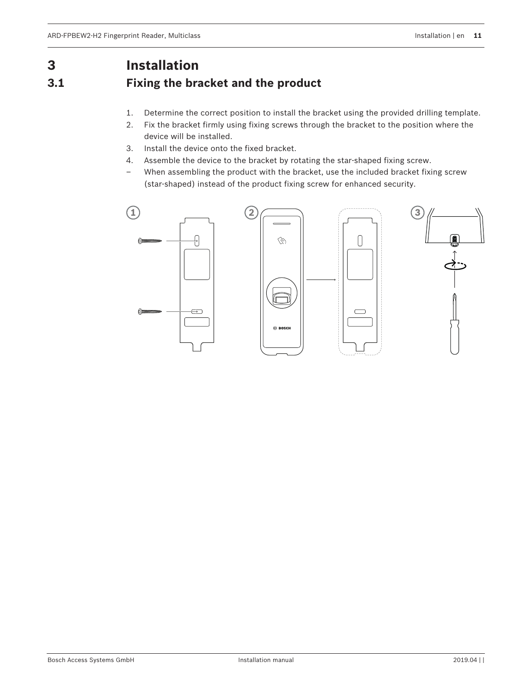## **3 Installation**

## **3.1 Fixing the bracket and the product**

- 1. Determine the correct position to install the bracket using the provided drilling template.
- 2. Fix the bracket firmly using fixing screws through the bracket to the position where the device will be installed.
- 3. Install the device onto the fixed bracket.
- 4. Assemble the device to the bracket by rotating the star-shaped fixing screw.
- When assembling the product with the bracket, use the included bracket fixing screw (star-shaped) instead of the product fixing screw for enhanced security.

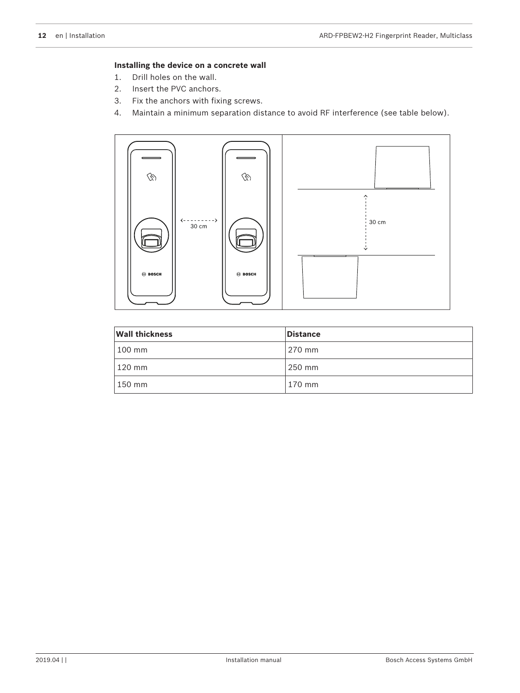#### **Installing the device on a concrete wall**

- 1. Drill holes on the wall.
- 2. Insert the PVC anchors.
- 3. Fix the anchors with fixing screws.
- 4. Maintain a minimum separation distance to avoid RF interference (see table below).



| <b>Wall thickness</b> | <b>Distance</b> |
|-----------------------|-----------------|
| 100 mm                | 270 mm          |
| 120 mm                | 250 mm          |
| 150 mm                | 170 mm          |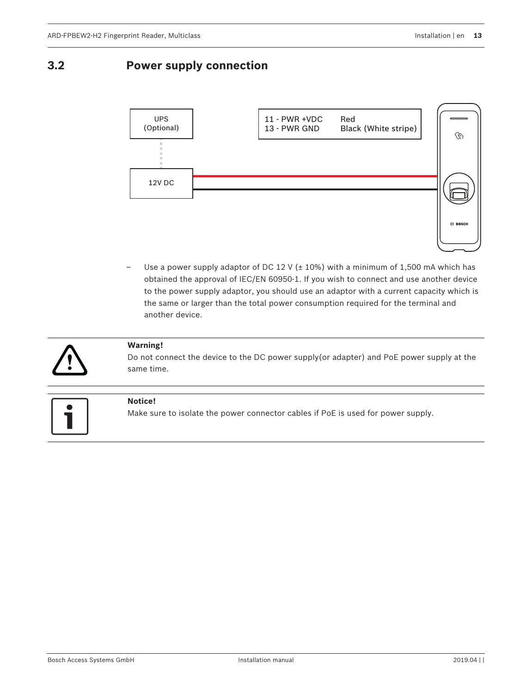### **3.2 Power supply connection**



Use a power supply adaptor of DC 12 V ( $\pm$  10%) with a minimum of 1,500 mA which has obtained the approval of IEC/EN 60950-1. If you wish to connect and use another device to the power supply adaptor, you should use an adaptor with a current capacity which is the same or larger than the total power consumption required for the terminal and another device.



#### **Warning!**

Do not connect the device to the DC power supply(or adapter) and PoE power supply at the same time.



#### **Notice!**

Make sure to isolate the power connector cables if PoE is used for power supply.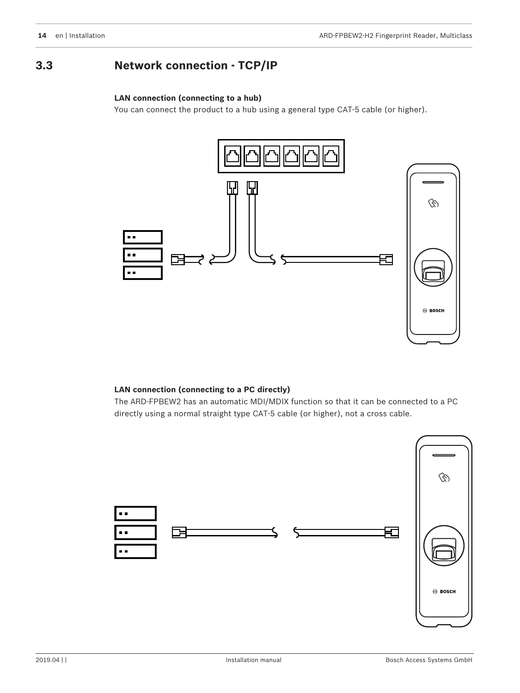### **3.3 Network connection - TCP/IP**

#### **LAN connection (connecting to a hub)**

You can connect the product to a hub using a general type CAT-5 cable (or higher).



#### **LAN connection (connecting to a PC directly)**

The ARD-FPBEW2 has an automatic MDI/MDIX function so that it can be connected to a PC directly using a normal straight type CAT-5 cable (or higher), not a cross cable.

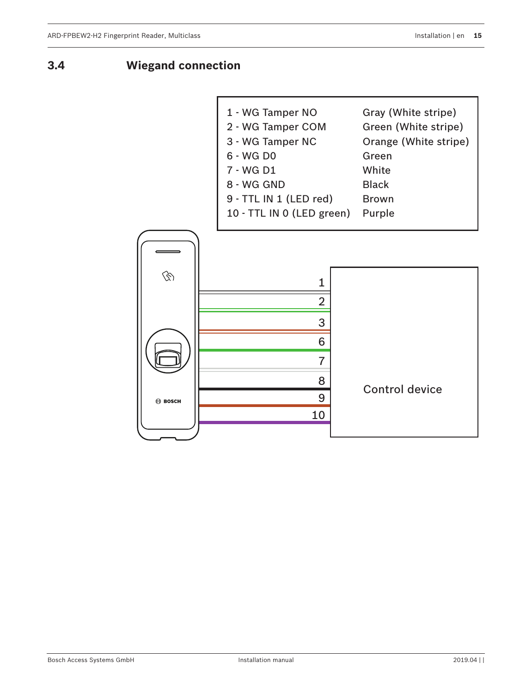**3.4 Wiegand connection**

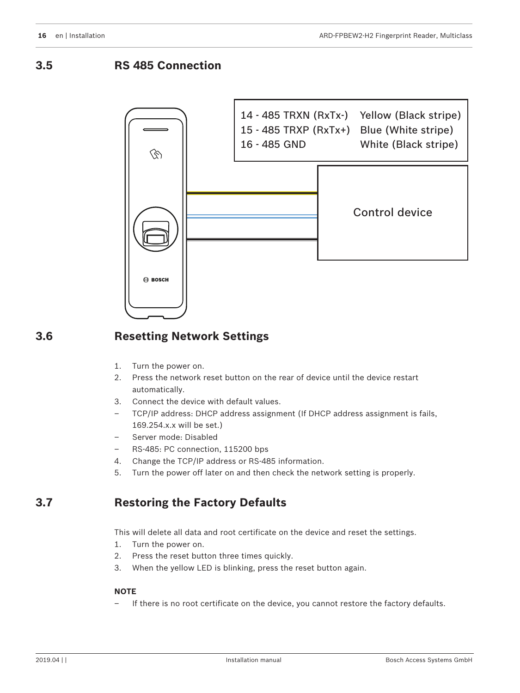**3.5 RS 485 Connection**



### **3.6 Resetting Network Settings**

- 1. Turn the power on.
- 2. Press the network reset button on the rear of device until the device restart automatically.
- 3. Connect the device with default values.
- TCP/IP address: DHCP address assignment (If DHCP address assignment is fails, 169.254.x.x will be set.)
- Server mode: Disabled
- RS-485: PC connection, 115200 bps
- 4. Change the TCP/IP address or RS-485 information.
- 5. Turn the power off later on and then check the network setting is properly.

### **3.7 Restoring the Factory Defaults**

This will delete all data and root certificate on the device and reset the settings.

- 1. Turn the power on.
- 2. Press the reset button three times quickly.
- 3. When the yellow LED is blinking, press the reset button again.

#### **NOTE**

– If there is no root certificate on the device, you cannot restore the factory defaults.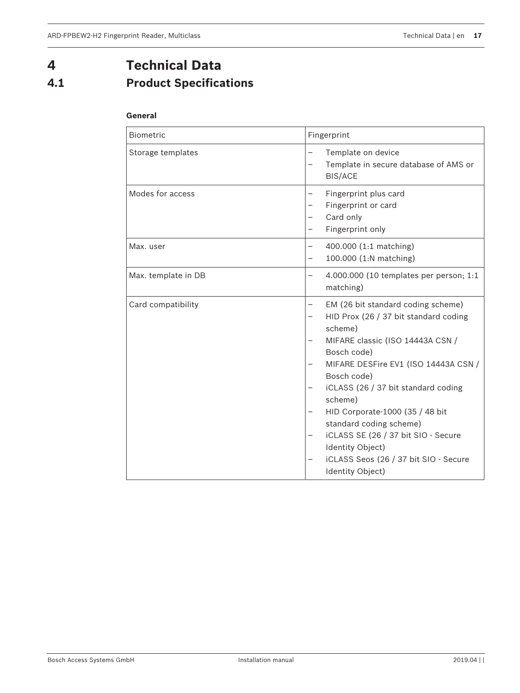## **4 Technical Data 4.1 Product Specifications**

#### **General**

| <b>Biometric</b>    | Fingerprint                                                                                                                                                                                                                                                                                                                                                                                                                              |
|---------------------|------------------------------------------------------------------------------------------------------------------------------------------------------------------------------------------------------------------------------------------------------------------------------------------------------------------------------------------------------------------------------------------------------------------------------------------|
| Storage templates   | Template on device<br>Template in secure database of AMS or<br><b>BIS/ACE</b>                                                                                                                                                                                                                                                                                                                                                            |
| Modes for access    | Fingerprint plus card<br>Fingerprint or card<br>Card only<br>Fingerprint only                                                                                                                                                                                                                                                                                                                                                            |
| Max. user           | 400.000 (1:1 matching)<br>100.000 (1:N matching)                                                                                                                                                                                                                                                                                                                                                                                         |
| Max. template in DB | 4.000.000 (10 templates per person; 1:1<br>matching)                                                                                                                                                                                                                                                                                                                                                                                     |
| Card compatibility  | EM (26 bit standard coding scheme)<br>HID Prox (26 / 37 bit standard coding<br>scheme)<br>MIFARE classic (ISO 14443A CSN /<br>Bosch code)<br>MIFARE DESFire EV1 (ISO 14443A CSN /<br>Bosch code)<br>iCLASS (26 / 37 bit standard coding<br>scheme)<br>HID Corporate-1000 (35 / 48 bit<br>standard coding scheme)<br>iCLASS SE (26 / 37 bit SIO - Secure<br>Identity Object)<br>iCLASS Seos (26 / 37 bit SIO - Secure<br>Identity Object) |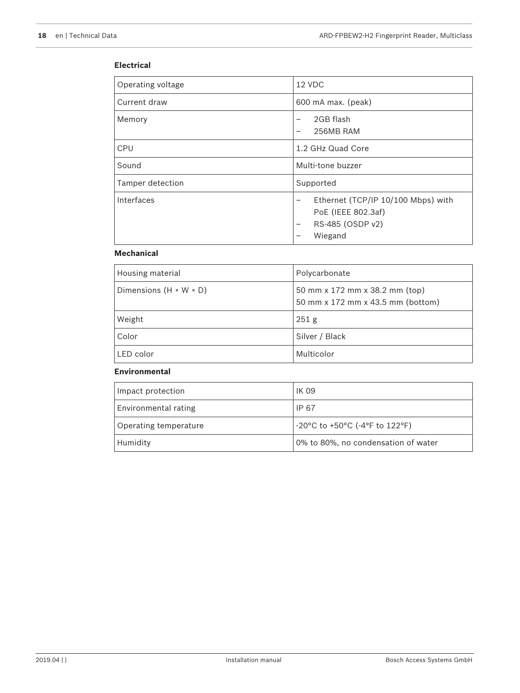#### **Electrical**

| Operating voltage | 12 VDC                                                                                                                                               |
|-------------------|------------------------------------------------------------------------------------------------------------------------------------------------------|
| Current draw      | 600 mA max. (peak)                                                                                                                                   |
| Memory            | 2GB flash<br>$\overline{\phantom{0}}$<br>256MB RAM                                                                                                   |
| CPU               | 1.2 GHz Quad Core                                                                                                                                    |
| Sound             | Multi-tone buzzer                                                                                                                                    |
| Tamper detection  | Supported                                                                                                                                            |
| Interfaces        | Ethernet (TCP/IP 10/100 Mbps) with<br>$\overline{\phantom{m}}$<br>PoE (IEEE 802.3af)<br>RS-485 (OSDP v2)<br>$\overline{\phantom{m}}$<br>Wiegand<br>- |

#### **Mechanical**

| Housing material                   | Polycarbonate                                                       |
|------------------------------------|---------------------------------------------------------------------|
| Dimensions $(H \times W \times D)$ | 50 mm x 172 mm x 38.2 mm (top)<br>50 mm x 172 mm x 43.5 mm (bottom) |
| Weight                             | 251 <sub>g</sub>                                                    |
| Color                              | Silver / Black                                                      |
| LED color                          | Multicolor                                                          |

#### **Environmental**

| Impact protection     | <b>IK 09</b>                        |
|-----------------------|-------------------------------------|
| Environmental rating  | IP 67                               |
| Operating temperature | -20°C to +50°C (-4°F to 122°F)      |
| Humidity              | 0% to 80%, no condensation of water |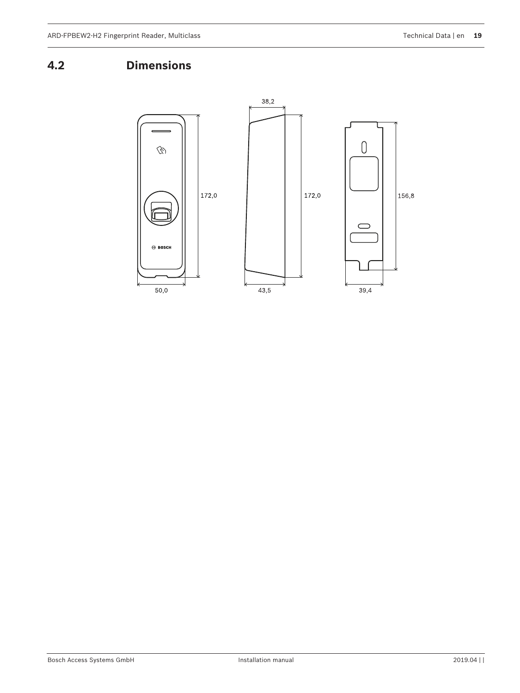## **4.2 Dimensions**

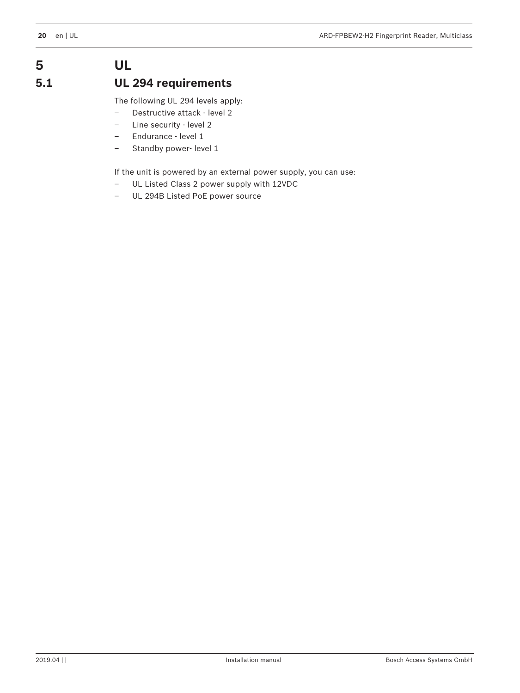## **5 UL 5.1 UL 294 requirements**

The following UL 294 levels apply:

- Destructive attack level 2
- Line security level 2
- Endurance level 1
- Standby power- level 1

If the unit is powered by an external power supply, you can use:

- UL Listed Class 2 power supply with 12VDC
- UL 294B Listed PoE power source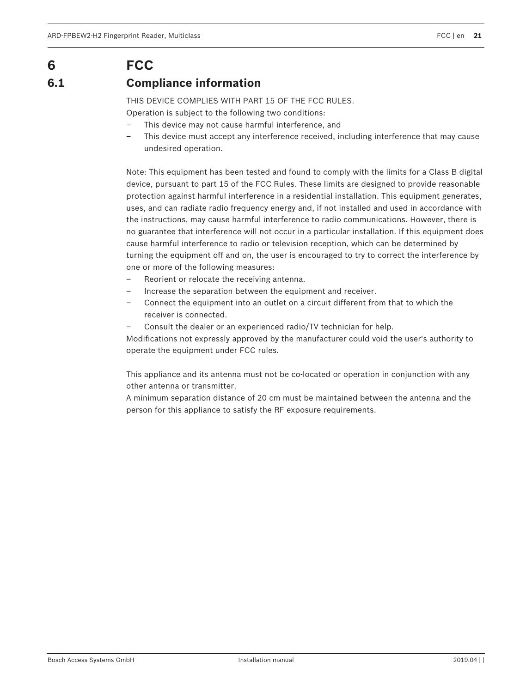## **6 FCC**

## **6.1 Compliance information**

THIS DEVICE COMPLIES WITH PART 15 OF THE FCC RULES.

Operation is subject to the following two conditions:

- This device may not cause harmful interference, and
- This device must accept any interference received, including interference that may cause undesired operation.

Note: This equipment has been tested and found to comply with the limits for a Class B digital device, pursuant to part 15 of the FCC Rules. These limits are designed to provide reasonable protection against harmful interference in a residential installation. This equipment generates, uses, and can radiate radio frequency energy and, if not installed and used in accordance with the instructions, may cause harmful interference to radio communications. However, there is no guarantee that interference will not occur in a particular installation. If this equipment does cause harmful interference to radio or television reception, which can be determined by turning the equipment off and on, the user is encouraged to try to correct the interference by one or more of the following measures:

- Reorient or relocate the receiving antenna.
- Increase the separation between the equipment and receiver.
- Connect the equipment into an outlet on a circuit different from that to which the receiver is connected.
- Consult the dealer or an experienced radio/TV technician for help.

Modifications not expressly approved by the manufacturer could void the user's authority to operate the equipment under FCC rules.

This appliance and its antenna must not be co-located or operation in conjunction with any other antenna or transmitter.

A minimum separation distance of 20 cm must be maintained between the antenna and the person for this appliance to satisfy the RF exposure requirements.